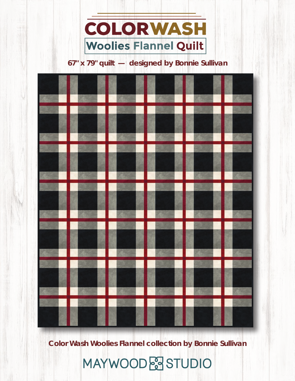

## **67" x 79" quilt — designed by Bonnie Sullivan**

**Color Wash Woolies Flannel collection by Bonnie Sullivan**

# MAYWOOD & STUDIO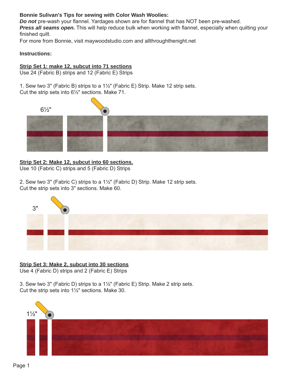#### **Bonnie Sulivan's Tips for sewing with Color Wash Woolies:**

*Do not* pre-wash your flannel. Yardages shown are for flannel that has NOT been pre-washed.

**Press all seams open.** This will help reduce bulk when working with flannel, especially when quilting your finished quilt.

For more from Bonnie, visit maywoodstudio.com and allthroughthenight.net

#### **Instructions:**

### **Strip Set 1: make 12, subcut into 71 sections**

Use 24 (Fabric B) strips and 12 (Fabric E) Strips

1. Sew two 3" (Fabric B) strips to a 11/2" (Fabric E) Strip. Make 12 strip sets. Cut the strip sets into  $6\frac{1}{2}$ " sections. Make 71.



### **Strip Set 2: Make 12, subcut into 60 sections.**

Use 10 (Fabric C) strips and 5 (Fabric D) Strips

2. Sew two 3" (Fabric C) strips to a 1<sup>1</sup>/<sub>2</sub>" (Fabric D) Strip. Make 12 strip sets. Cut the strip sets into 3" sections. Make 60.



#### **Strip Set 3: Make 2, subcut into 30 sections**

Use 4 (Fabric D) strips and 2 (Fabric E) Strips

3. Sew two 3" (Fabric D) strips to a  $1\frac{1}{2}$ " (Fabric E) Strip. Make 2 strip sets. Cut the strip sets into  $1\frac{1}{2}$ " sections. Make 30.

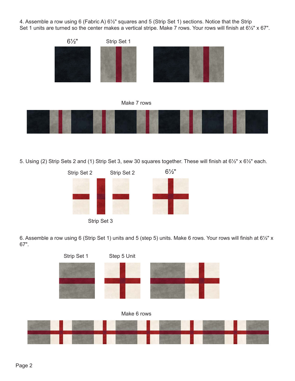4. Assemble a row using 6 (Fabric A)  $6\frac{1}{2}$ " squares and 5 (Strip Set 1) sections. Notice that the Strip Set 1 units are turned so the center makes a vertical stripe. Make 7 rows. Your rows will finish at 61/2" x 67".







5. Using (2) Strip Sets 2 and (1) Strip Set 3, sew 30 squares together. These will finish at 61/2" x 61/2" each.



Strip Set 3

6. Assemble a row using 6 (Strip Set 1) units and 5 (step 5) units. Make 6 rows. Your rows will finish at 61/2" x 67".

Make 6 rows Strip Set 1 Step 5 Unit

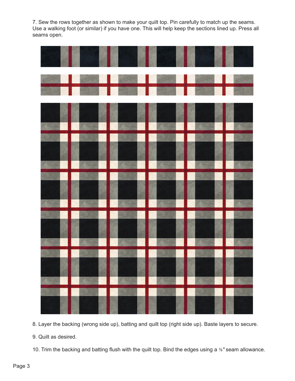7. Sew the rows together as shown to make your quilt top. Pin carefully to match up the seams. Use a walking foot (or similar) if you have one. This will help keep the sections lined up. Press all seams open.

| <u>a sa katika na</u>                                                                                           |  |  |
|-----------------------------------------------------------------------------------------------------------------|--|--|
| and the state of the state of the state of the state of the state of the state of the state of the state of the |  |  |

8. Layer the backing (wrong side up), batting and quilt top (right side up). Baste layers to secure.

9. Quilt as desired.

10. Trim the backing and batting flush with the quilt top. Bind the edges using a <sup>3/</sup><sub>8</sub>" seam allowance.